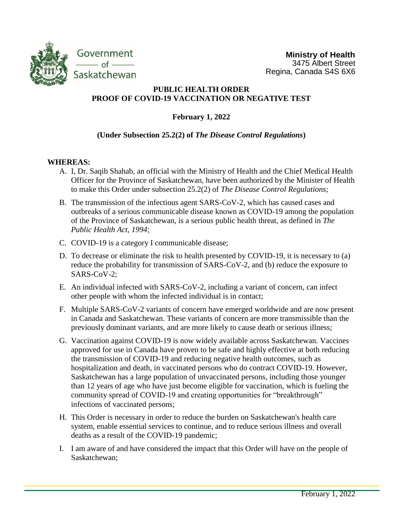

# **PUBLIC HEALTH ORDER PROOF OF COVID-19 VACCINATION OR NEGATIVE TEST**

**February 1, 2022**

## **(Under Subsection 25.2(2) of** *The Disease Control Regulations***)**

## **WHEREAS:**

- A. I, Dr. Saqib Shahab, an official with the Ministry of Health and the Chief Medical Health Officer for the Province of Saskatchewan, have been authorized by the Minister of Health to make this Order under subsection 25.2(2) of *The Disease Control Regulations*;
- B. The transmission of the infectious agent SARS-CoV-2, which has caused cases and outbreaks of a serious communicable disease known as COVID-19 among the population of the Province of Saskatchewan, is a serious public health threat, as defined in *The Public Health Act, 1994*;
- C. COVID-19 is a category I communicable disease;
- D. To decrease or eliminate the risk to health presented by COVID-19, it is necessary to (a) reduce the probability for transmission of SARS-CoV-2, and (b) reduce the exposure to SARS-CoV-2;
- E. An individual infected with SARS-CoV-2, including a variant of concern, can infect other people with whom the infected individual is in contact;
- F. Multiple SARS-CoV-2 variants of concern have emerged worldwide and are now present in Canada and Saskatchewan. These variants of concern are more transmissible than the previously dominant variants, and are more likely to cause death or serious illness;
- G. Vaccination against COVID-19 is now widely available across Saskatchewan. Vaccines approved for use in Canada have proven to be safe and highly effective at both reducing the transmission of COVID-19 and reducing negative health outcomes, such as hospitalization and death, in vaccinated persons who do contract COVID-19. However, Saskatchewan has a large population of unvaccinated persons, including those younger than 12 years of age who have just become eligible for vaccination, which is fueling the community spread of COVID-19 and creating opportunities for "breakthrough" infections of vaccinated persons;
- H. This Order is necessary in order to reduce the burden on Saskatchewan's health care system, enable essential services to continue, and to reduce serious illness and overall deaths as a result of the COVID-19 pandemic;
- I. I am aware of and have considered the impact that this Order will have on the people of Saskatchewan;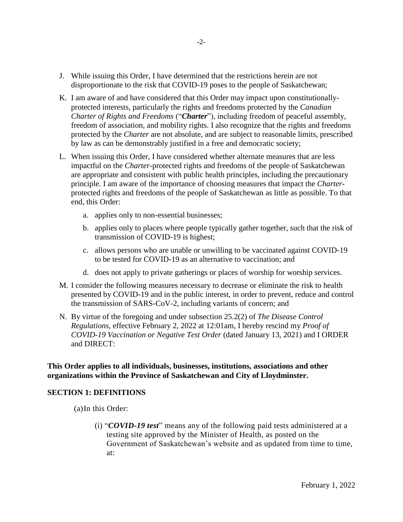- J. While issuing this Order, I have determined that the restrictions herein are not disproportionate to the risk that COVID-19 poses to the people of Saskatchewan;
- K. I am aware of and have considered that this Order may impact upon constitutionallyprotected interests, particularly the rights and freedoms protected by the *Canadian Charter of Rights and Freedoms* ("*Charter*"), including freedom of peaceful assembly, freedom of association, and mobility rights. I also recognize that the rights and freedoms protected by the *Charter* are not absolute, and are subject to reasonable limits, prescribed by law as can be demonstrably justified in a free and democratic society;
- L. When issuing this Order, I have considered whether alternate measures that are less impactful on the *Charter*-protected rights and freedoms of the people of Saskatchewan are appropriate and consistent with public health principles, including the precautionary principle. I am aware of the importance of choosing measures that impact the *Charter*protected rights and freedoms of the people of Saskatchewan as little as possible. To that end, this Order:
	- a. applies only to non-essential businesses;
	- b. applies only to places where people typically gather together, such that the risk of transmission of COVID-19 is highest;
	- c. allows persons who are unable or unwilling to be vaccinated against COVID-19 to be tested for COVID-19 as an alternative to vaccination; and
	- d. does not apply to private gatherings or places of worship for worship services.
- M. I consider the following measures necessary to decrease or eliminate the risk to health presented by COVID-19 and in the public interest, in order to prevent, reduce and control the transmission of SARS-CoV-2, including variants of concern; and
- N. By virtue of the foregoing and under subsection 25.2(2) of *The Disease Control Regulations*, effective February 2, 2022 at 12:01am, I hereby rescind my *Proof of COVID-19 Vaccination or Negative Test Order* (dated January 13, 2021) and I ORDER and DIRECT:

**This Order applies to all individuals, businesses, institutions, associations and other organizations within the Province of Saskatchewan and City of Lloydminster.**

#### **SECTION 1: DEFINITIONS**

- (a)In this Order:
	- (i) "*COVID-19 test*" means any of the following paid tests administered at a testing site approved by the Minister of Health, as posted on the Government of Saskatchewan's website and as updated from time to time, at: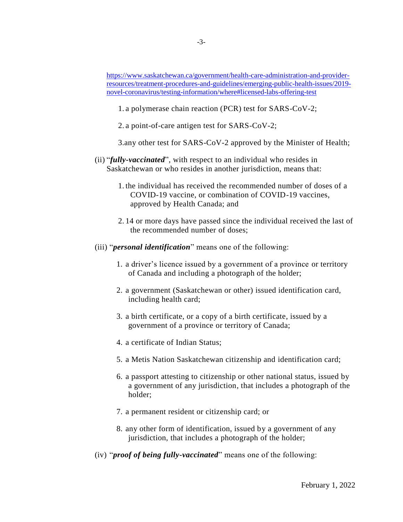[https://www.saskatchewan.ca/government/health-care-administration-and-provider](https://www.saskatchewan.ca/government/health-care-administration-and-provider-resources/treatment-procedures-and-guidelines/emerging-public-health-issues/2019-novel-coronavirus/testing-information/where#licensed-labs-offering-test)[resources/treatment-procedures-and-guidelines/emerging-public-health-issues/2019](https://www.saskatchewan.ca/government/health-care-administration-and-provider-resources/treatment-procedures-and-guidelines/emerging-public-health-issues/2019-novel-coronavirus/testing-information/where#licensed-labs-offering-test) [novel-coronavirus/testing-information/where#licensed-labs-offering-test](https://www.saskatchewan.ca/government/health-care-administration-and-provider-resources/treatment-procedures-and-guidelines/emerging-public-health-issues/2019-novel-coronavirus/testing-information/where#licensed-labs-offering-test)

1. a polymerase chain reaction (PCR) test for SARS-CoV-2;

2. a point-of-care antigen test for SARS-CoV-2;

3.any other test for SARS-CoV-2 approved by the Minister of Health;

- (ii) "*fully-vaccinated*", with respect to an individual who resides in Saskatchewan or who resides in another jurisdiction, means that:
	- 1. the individual has received the recommended number of doses of a COVID-19 vaccine, or combination of COVID-19 vaccines, approved by Health Canada; and
	- 2. 14 or more days have passed since the individual received the last of the recommended number of doses;
- (iii) "*personal identification*" means one of the following:
	- 1. a driver's licence issued by a government of a province or territory of Canada and including a photograph of the holder;
	- 2. a government (Saskatchewan or other) issued identification card, including health card;
	- 3. a birth certificate, or a copy of a birth certificate, issued by a government of a province or territory of Canada;
	- 4. a certificate of Indian Status;
	- 5. a Metis Nation Saskatchewan citizenship and identification card;
	- 6. a passport attesting to citizenship or other national status, issued by a government of any jurisdiction, that includes a photograph of the holder;
	- 7. a permanent resident or citizenship card; or
	- 8. any other form of identification, issued by a government of any jurisdiction, that includes a photograph of the holder;
- (iv) "*proof of being fully-vaccinated*" means one of the following: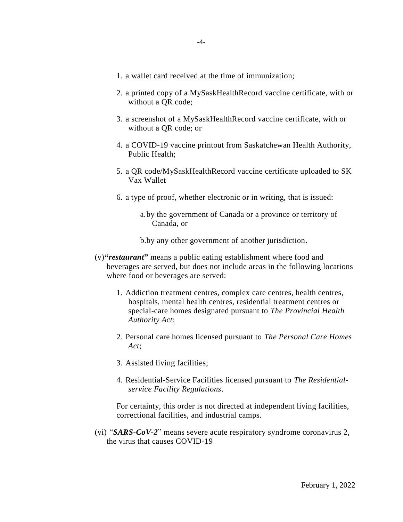- 1. a wallet card received at the time of immunization;
- 2. a printed copy of a MySaskHealthRecord vaccine certificate, with or without a QR code;
- 3. a screenshot of a MySaskHealthRecord vaccine certificate, with or without a QR code; or
- 4. a COVID-19 vaccine printout from Saskatchewan Health Authority, Public Health;
- 5. a QR code/MySaskHealthRecord vaccine certificate uploaded to SK Vax Wallet
- 6. a type of proof, whether electronic or in writing, that is issued:
	- a.by the government of Canada or a province or territory of Canada, or

b.by any other government of another jurisdiction.

- (v)**"***restaurant***"** means a public eating establishment where food and beverages are served, but does not include areas in the following locations where food or beverages are served:
	- 1. Addiction treatment centres, complex care centres, health centres, hospitals, mental health centres, residential treatment centres or special-care homes designated pursuant to *The Provincial Health Authority Act*;
	- 2. Personal care homes licensed pursuant to *The Personal Care Homes Act*;
	- 3. Assisted living facilities;
	- 4. Residential-Service Facilities licensed pursuant to *The Residentialservice Facility Regulations*.

For certainty, this order is not directed at independent living facilities, correctional facilities, and industrial camps.

(vi) "*SARS-CoV-2*" means severe acute respiratory syndrome coronavirus 2, the virus that causes COVID-19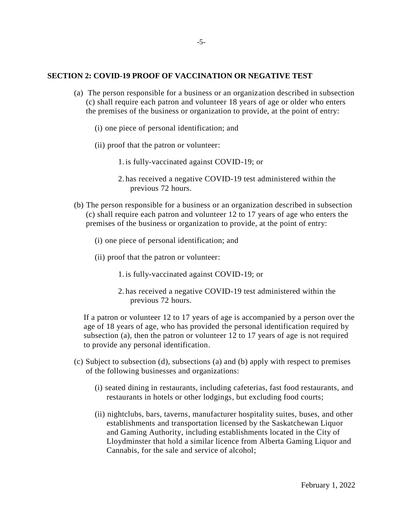### **SECTION 2: COVID-19 PROOF OF VACCINATION OR NEGATIVE TEST**

- (a) The person responsible for a business or an organization described in subsection (c) shall require each patron and volunteer 18 years of age or older who enters the premises of the business or organization to provide, at the point of entry:
	- (i) one piece of personal identification; and
	- (ii) proof that the patron or volunteer:
		- 1. is fully-vaccinated against COVID-19; or
		- 2. has received a negative COVID-19 test administered within the previous 72 hours.
- (b) The person responsible for a business or an organization described in subsection (c) shall require each patron and volunteer 12 to 17 years of age who enters the premises of the business or organization to provide, at the point of entry:
	- (i) one piece of personal identification; and
	- (ii) proof that the patron or volunteer:
		- 1. is fully-vaccinated against COVID-19; or
		- 2. has received a negative COVID-19 test administered within the previous 72 hours.

If a patron or volunteer 12 to 17 years of age is accompanied by a person over the age of 18 years of age, who has provided the personal identification required by subsection (a), then the patron or volunteer 12 to 17 years of age is not required to provide any personal identification.

- (c) Subject to subsection (d), subsections (a) and (b) apply with respect to premises of the following businesses and organizations:
	- (i) seated dining in restaurants, including cafeterias, fast food restaurants, and restaurants in hotels or other lodgings, but excluding food courts;
	- (ii) nightclubs, bars, taverns, manufacturer hospitality suites, buses, and other establishments and transportation licensed by the Saskatchewan Liquor and Gaming Authority, including establishments located in the City of Lloydminster that hold a similar licence from Alberta Gaming Liquor and Cannabis, for the sale and service of alcohol;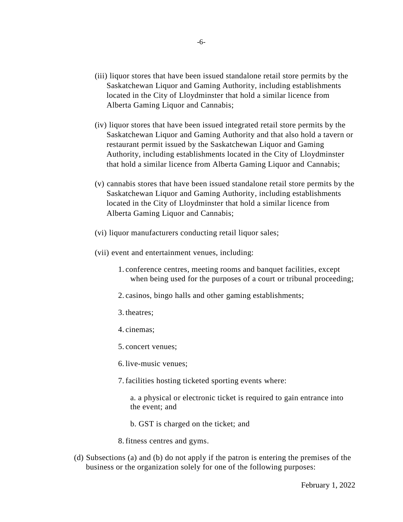- (iii) liquor stores that have been issued standalone retail store permits by the Saskatchewan Liquor and Gaming Authority, including establishments located in the City of Lloydminster that hold a similar licence from Alberta Gaming Liquor and Cannabis;
- (iv) liquor stores that have been issued integrated retail store permits by the Saskatchewan Liquor and Gaming Authority and that also hold a tavern or restaurant permit issued by the Saskatchewan Liquor and Gaming Authority, including establishments located in the City of Lloydminster that hold a similar licence from Alberta Gaming Liquor and Cannabis;
- (v) cannabis stores that have been issued standalone retail store permits by the Saskatchewan Liquor and Gaming Authority, including establishments located in the City of Lloydminster that hold a similar licence from Alberta Gaming Liquor and Cannabis;
- (vi) liquor manufacturers conducting retail liquor sales;
- (vii) event and entertainment venues, including:
	- 1. conference centres, meeting rooms and banquet facilities, except when being used for the purposes of a court or tribunal proceeding;
	- 2. casinos, bingo halls and other gaming establishments;
	- 3. theatres;
	- 4. cinemas;
	- 5. concert venues;
	- 6. live-music venues;
	- 7. facilities hosting ticketed sporting events where:
		- a. a physical or electronic ticket is required to gain entrance into the event; and
		- b. GST is charged on the ticket; and
	- 8. fitness centres and gyms.
- (d) Subsections (a) and (b) do not apply if the patron is entering the premises of the business or the organization solely for one of the following purposes: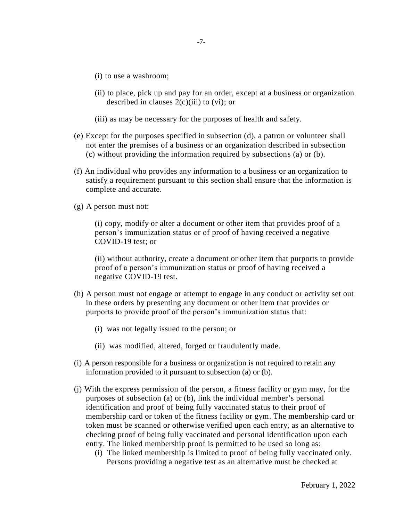- (i) to use a washroom;
- (ii) to place, pick up and pay for an order, except at a business or organization described in clauses  $2(c)(iii)$  to  $(vi)$ ; or
- (iii) as may be necessary for the purposes of health and safety.
- (e) Except for the purposes specified in subsection (d), a patron or volunteer shall not enter the premises of a business or an organization described in subsection (c) without providing the information required by subsections (a) or (b).
- (f) An individual who provides any information to a business or an organization to satisfy a requirement pursuant to this section shall ensure that the information is complete and accurate.
- (g) A person must not:

(i) copy, modify or alter a document or other item that provides proof of a person's immunization status or of proof of having received a negative COVID-19 test; or

(ii) without authority, create a document or other item that purports to provide proof of a person's immunization status or proof of having received a negative COVID-19 test.

- (h) A person must not engage or attempt to engage in any conduct or activity set out in these orders by presenting any document or other item that provides or purports to provide proof of the person's immunization status that:
	- (i) was not legally issued to the person; or
	- (ii) was modified, altered, forged or fraudulently made.
- (i) A person responsible for a business or organization is not required to retain any information provided to it pursuant to subsection (a) or (b).
- (j) With the express permission of the person, a fitness facility or gym may, for the purposes of subsection (a) or (b), link the individual member's personal identification and proof of being fully vaccinated status to their proof of membership card or token of the fitness facility or gym. The membership card or token must be scanned or otherwise verified upon each entry, as an alternative to checking proof of being fully vaccinated and personal identification upon each entry. The linked membership proof is permitted to be used so long as:
	- (i) The linked membership is limited to proof of being fully vaccinated only. Persons providing a negative test as an alternative must be checked at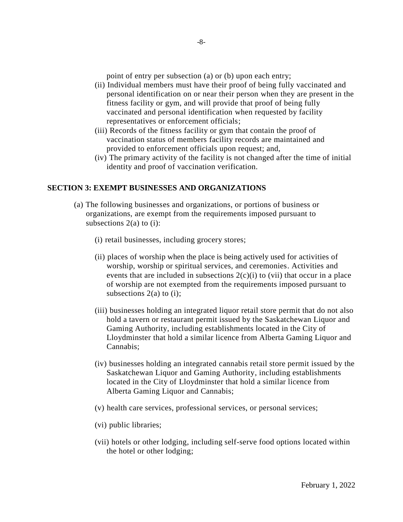point of entry per subsection (a) or (b) upon each entry;

- (ii) Individual members must have their proof of being fully vaccinated and personal identification on or near their person when they are present in the fitness facility or gym, and will provide that proof of being fully vaccinated and personal identification when requested by facility representatives or enforcement officials;
- (iii) Records of the fitness facility or gym that contain the proof of vaccination status of members facility records are maintained and provided to enforcement officials upon request; and,
- (iv) The primary activity of the facility is not changed after the time of initial identity and proof of vaccination verification.

## **SECTION 3: EXEMPT BUSINESSES AND ORGANIZATIONS**

- (a) The following businesses and organizations, or portions of business or organizations, are exempt from the requirements imposed pursuant to subsections 2(a) to (i):
	- (i) retail businesses, including grocery stores;
	- (ii) places of worship when the place is being actively used for activities of worship, worship or spiritual services, and ceremonies. Activities and events that are included in subsections  $2(c)(i)$  to (vii) that occur in a place of worship are not exempted from the requirements imposed pursuant to subsections  $2(a)$  to (i);
	- (iii) businesses holding an integrated liquor retail store permit that do not also hold a tavern or restaurant permit issued by the Saskatchewan Liquor and Gaming Authority, including establishments located in the City of Lloydminster that hold a similar licence from Alberta Gaming Liquor and Cannabis;
	- (iv) businesses holding an integrated cannabis retail store permit issued by the Saskatchewan Liquor and Gaming Authority, including establishments located in the City of Lloydminster that hold a similar licence from Alberta Gaming Liquor and Cannabis;
	- (v) health care services, professional services, or personal services;
	- (vi) public libraries;
	- (vii) hotels or other lodging, including self-serve food options located within the hotel or other lodging;